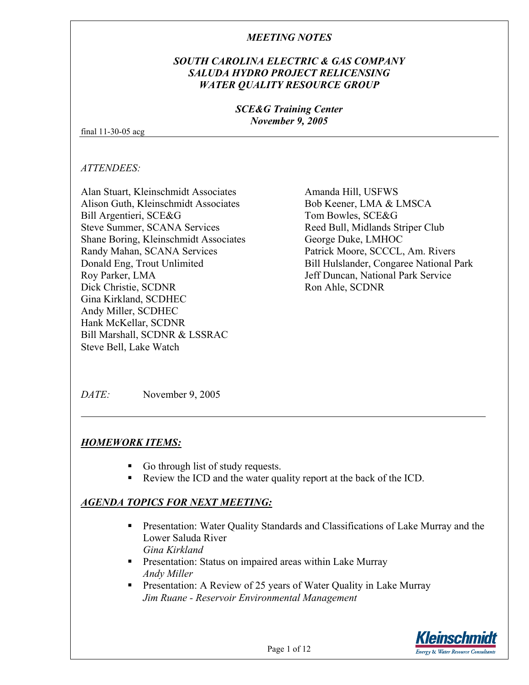#### *SOUTH CAROLINA ELECTRIC & GAS COMPANY SALUDA HYDRO PROJECT RELICENSING WATER QUALITY RESOURCE GROUP*

#### *SCE&G Training Center November 9, 2005*

final 11-30-05 acg

*ATTENDEES:* 

Alan Stuart, Kleinschmidt Associates Alison Guth, Kleinschmidt Associates Bill Argentieri, SCE&G Steve Summer, SCANA Services Shane Boring, Kleinschmidt Associates Randy Mahan, SCANA Services Donald Eng, Trout Unlimited Roy Parker, LMA Dick Christie, SCDNR Gina Kirkland, SCDHEC Andy Miller, SCDHEC Hank McKellar, SCDNR Bill Marshall, SCDNR & LSSRAC Steve Bell, Lake Watch

Amanda Hill, USFWS Bob Keener, LMA & LMSCA Tom Bowles, SCE&G Reed Bull, Midlands Striper Club George Duke, LMHOC Patrick Moore, SCCCL, Am. Rivers Bill Hulslander, Congaree National Park Jeff Duncan, National Park Service Ron Ahle, SCDNR

*DATE:* November 9, 2005

# *HOMEWORK ITEMS:*

- Go through list of study requests.
- Review the ICD and the water quality report at the back of the ICD.

# *AGENDA TOPICS FOR NEXT MEETING:*

- **Presentation: Water Quality Standards and Classifications of Lake Murray and the** Lower Saluda River *Gina Kirkland*
- **Presentation: Status on impaired areas within Lake Murray** *Andy Miller*
- **Presentation:** A Review of 25 years of Water Quality in Lake Murray *Jim Ruane - Reservoir Environmental Management*

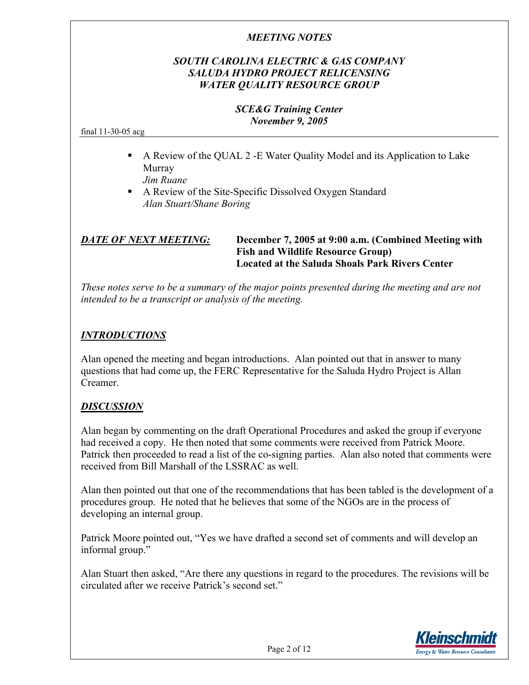## *SOUTH CAROLINA ELECTRIC & GAS COMPANY SALUDA HYDRO PROJECT RELICENSING WATER QUALITY RESOURCE GROUP*

#### *SCE&G Training Center November 9, 2005*

final 11-30-05 acg

- A Review of the QUAL 2 -E Water Quality Model and its Application to Lake Murray *Jim Ruane*
- A Review of the Site-Specific Dissolved Oxygen Standard *Alan Stuart/Shane Boring*

#### *DATE OF NEXT MEETING:* **December 7, 2005 at 9:00 a.m. (Combined Meeting with Fish and Wildlife Resource Group) Located at the Saluda Shoals Park Rivers Center**

*These notes serve to be a summary of the major points presented during the meeting and are not intended to be a transcript or analysis of the meeting.* 

# *INTRODUCTIONS*

Alan opened the meeting and began introductions. Alan pointed out that in answer to many questions that had come up, the FERC Representative for the Saluda Hydro Project is Allan Creamer.

#### *DISCUSSION*

Alan began by commenting on the draft Operational Procedures and asked the group if everyone had received a copy. He then noted that some comments were received from Patrick Moore. Patrick then proceeded to read a list of the co-signing parties. Alan also noted that comments were received from Bill Marshall of the LSSRAC as well.

Alan then pointed out that one of the recommendations that has been tabled is the development of a procedures group. He noted that he believes that some of the NGOs are in the process of developing an internal group.

Patrick Moore pointed out, "Yes we have drafted a second set of comments and will develop an informal group."

Alan Stuart then asked, "Are there any questions in regard to the procedures. The revisions will be circulated after we receive Patrick's second set."

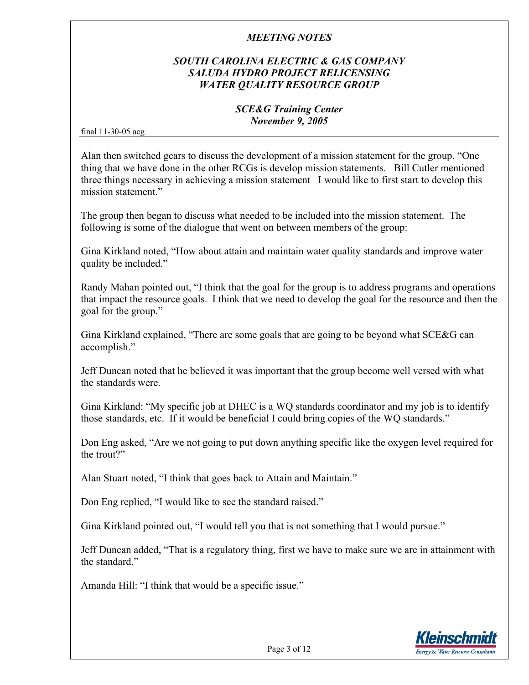## *SOUTH CAROLINA ELECTRIC & GAS COMPANY SALUDA HYDRO PROJECT RELICENSING WATER QUALITY RESOURCE GROUP*

#### *SCE&G Training Center November 9, 2005*

final 11-30-05 acg

Alan then switched gears to discuss the development of a mission statement for the group. "One thing that we have done in the other RCGs is develop mission statements. Bill Cutler mentioned three things necessary in achieving a mission statement I would like to first start to develop this mission statement."

The group then began to discuss what needed to be included into the mission statement. The following is some of the dialogue that went on between members of the group:

Gina Kirkland noted, "How about attain and maintain water quality standards and improve water quality be included."

Randy Mahan pointed out, "I think that the goal for the group is to address programs and operations that impact the resource goals. I think that we need to develop the goal for the resource and then the goal for the group."

Gina Kirkland explained, "There are some goals that are going to be beyond what SCE&G can accomplish."

Jeff Duncan noted that he believed it was important that the group become well versed with what the standards were.

Gina Kirkland: "My specific job at DHEC is a WQ standards coordinator and my job is to identify those standards, etc. If it would be beneficial I could bring copies of the WQ standards."

Don Eng asked, "Are we not going to put down anything specific like the oxygen level required for the trout?"

Alan Stuart noted, "I think that goes back to Attain and Maintain."

Don Eng replied, "I would like to see the standard raised."

Gina Kirkland pointed out, "I would tell you that is not something that I would pursue."

Jeff Duncan added, "That is a regulatory thing, first we have to make sure we are in attainment with the standard."

Amanda Hill: "I think that would be a specific issue."

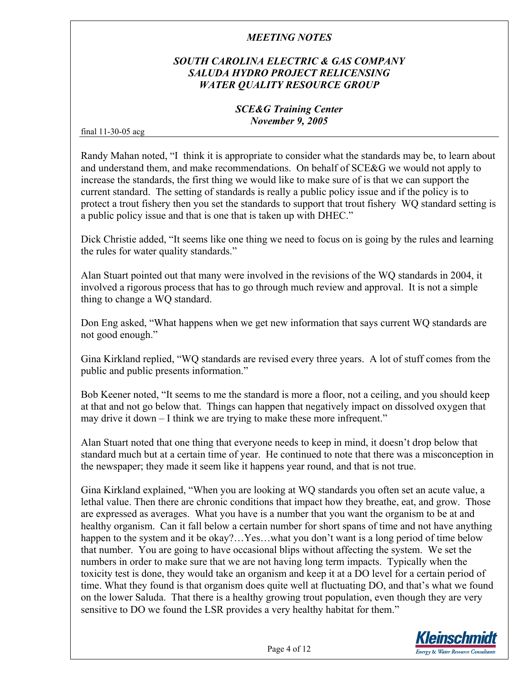# *SOUTH CAROLINA ELECTRIC & GAS COMPANY SALUDA HYDRO PROJECT RELICENSING WATER QUALITY RESOURCE GROUP*

#### *SCE&G Training Center November 9, 2005*

final 11-30-05 acg

Randy Mahan noted, "I think it is appropriate to consider what the standards may be, to learn about and understand them, and make recommendations. On behalf of SCE&G we would not apply to increase the standards, the first thing we would like to make sure of is that we can support the current standard. The setting of standards is really a public policy issue and if the policy is to protect a trout fishery then you set the standards to support that trout fishery WQ standard setting is a public policy issue and that is one that is taken up with DHEC."

Dick Christie added, "It seems like one thing we need to focus on is going by the rules and learning the rules for water quality standards."

Alan Stuart pointed out that many were involved in the revisions of the WQ standards in 2004, it involved a rigorous process that has to go through much review and approval. It is not a simple thing to change a WQ standard.

Don Eng asked, "What happens when we get new information that says current WQ standards are not good enough."

Gina Kirkland replied, "WQ standards are revised every three years. A lot of stuff comes from the public and public presents information."

Bob Keener noted, "It seems to me the standard is more a floor, not a ceiling, and you should keep at that and not go below that. Things can happen that negatively impact on dissolved oxygen that may drive it down – I think we are trying to make these more infrequent."

Alan Stuart noted that one thing that everyone needs to keep in mind, it doesn't drop below that standard much but at a certain time of year. He continued to note that there was a misconception in the newspaper; they made it seem like it happens year round, and that is not true.

Gina Kirkland explained, "When you are looking at WQ standards you often set an acute value, a lethal value. Then there are chronic conditions that impact how they breathe, eat, and grow. Those are expressed as averages. What you have is a number that you want the organism to be at and healthy organism. Can it fall below a certain number for short spans of time and not have anything happen to the system and it be okay?...Yes...what you don't want is a long period of time below that number. You are going to have occasional blips without affecting the system. We set the numbers in order to make sure that we are not having long term impacts. Typically when the toxicity test is done, they would take an organism and keep it at a DO level for a certain period of time. What they found is that organism does quite well at fluctuating DO, and that's what we found on the lower Saluda. That there is a healthy growing trout population, even though they are very sensitive to DO we found the LSR provides a very healthy habitat for them."

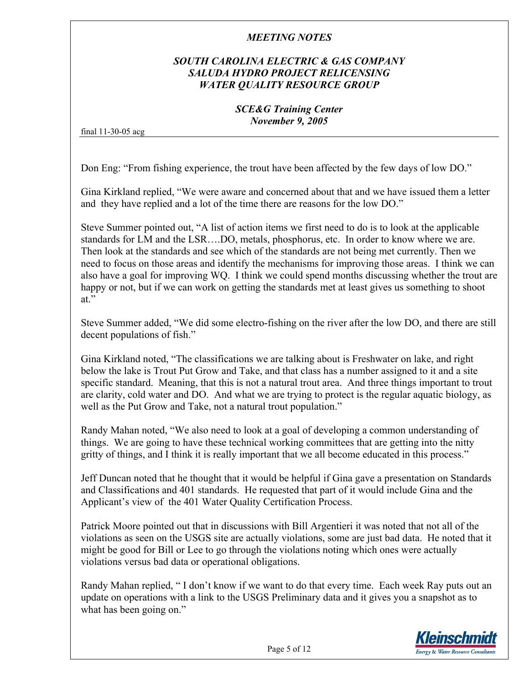# *SOUTH CAROLINA ELECTRIC & GAS COMPANY SALUDA HYDRO PROJECT RELICENSING WATER QUALITY RESOURCE GROUP*

#### *SCE&G Training Center November 9, 2005*

final 11-30-05 acg

Don Eng: "From fishing experience, the trout have been affected by the few days of low DO."

Gina Kirkland replied, "We were aware and concerned about that and we have issued them a letter and they have replied and a lot of the time there are reasons for the low DO."

Steve Summer pointed out, "A list of action items we first need to do is to look at the applicable standards for LM and the LSR….DO, metals, phosphorus, etc. In order to know where we are. Then look at the standards and see which of the standards are not being met currently. Then we need to focus on those areas and identify the mechanisms for improving those areas. I think we can also have a goal for improving WQ. I think we could spend months discussing whether the trout are happy or not, but if we can work on getting the standards met at least gives us something to shoot at."

Steve Summer added, "We did some electro-fishing on the river after the low DO, and there are still decent populations of fish."

Gina Kirkland noted, "The classifications we are talking about is Freshwater on lake, and right below the lake is Trout Put Grow and Take, and that class has a number assigned to it and a site specific standard. Meaning, that this is not a natural trout area. And three things important to trout are clarity, cold water and DO. And what we are trying to protect is the regular aquatic biology, as well as the Put Grow and Take, not a natural trout population."

Randy Mahan noted, "We also need to look at a goal of developing a common understanding of things. We are going to have these technical working committees that are getting into the nitty gritty of things, and I think it is really important that we all become educated in this process."

Jeff Duncan noted that he thought that it would be helpful if Gina gave a presentation on Standards and Classifications and 401 standards. He requested that part of it would include Gina and the Applicant's view of the 401 Water Quality Certification Process.

Patrick Moore pointed out that in discussions with Bill Argentieri it was noted that not all of the violations as seen on the USGS site are actually violations, some are just bad data. He noted that it might be good for Bill or Lee to go through the violations noting which ones were actually violations versus bad data or operational obligations.

Randy Mahan replied, " I don't know if we want to do that every time. Each week Ray puts out an update on operations with a link to the USGS Preliminary data and it gives you a snapshot as to what has been going on."

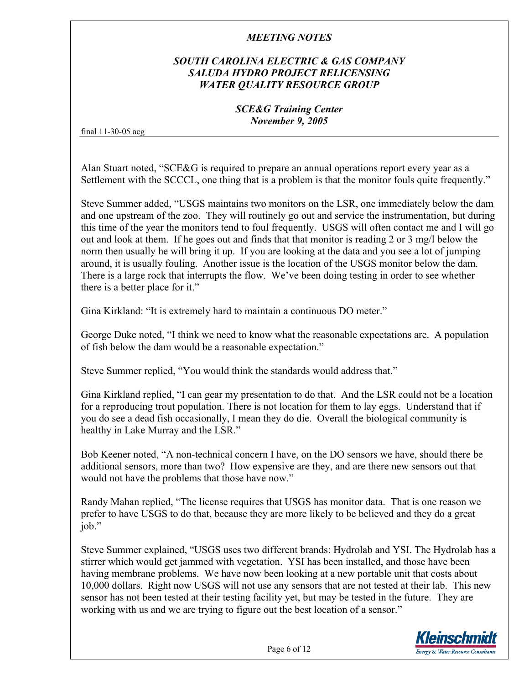# *SOUTH CAROLINA ELECTRIC & GAS COMPANY SALUDA HYDRO PROJECT RELICENSING WATER QUALITY RESOURCE GROUP*

#### *SCE&G Training Center November 9, 2005*

final 11-30-05 acg

Alan Stuart noted, "SCE&G is required to prepare an annual operations report every year as a Settlement with the SCCCL, one thing that is a problem is that the monitor fouls quite frequently."

Steve Summer added, "USGS maintains two monitors on the LSR, one immediately below the dam and one upstream of the zoo. They will routinely go out and service the instrumentation, but during this time of the year the monitors tend to foul frequently. USGS will often contact me and I will go out and look at them. If he goes out and finds that that monitor is reading 2 or 3 mg/l below the norm then usually he will bring it up. If you are looking at the data and you see a lot of jumping around, it is usually fouling. Another issue is the location of the USGS monitor below the dam. There is a large rock that interrupts the flow. We've been doing testing in order to see whether there is a better place for it."

Gina Kirkland: "It is extremely hard to maintain a continuous DO meter."

George Duke noted, "I think we need to know what the reasonable expectations are. A population of fish below the dam would be a reasonable expectation."

Steve Summer replied, "You would think the standards would address that."

Gina Kirkland replied, "I can gear my presentation to do that. And the LSR could not be a location for a reproducing trout population. There is not location for them to lay eggs. Understand that if you do see a dead fish occasionally, I mean they do die. Overall the biological community is healthy in Lake Murray and the LSR."

Bob Keener noted, "A non-technical concern I have, on the DO sensors we have, should there be additional sensors, more than two? How expensive are they, and are there new sensors out that would not have the problems that those have now."

Randy Mahan replied, "The license requires that USGS has monitor data. That is one reason we prefer to have USGS to do that, because they are more likely to be believed and they do a great job."

Steve Summer explained, "USGS uses two different brands: Hydrolab and YSI. The Hydrolab has a stirrer which would get jammed with vegetation. YSI has been installed, and those have been having membrane problems. We have now been looking at a new portable unit that costs about 10,000 dollars. Right now USGS will not use any sensors that are not tested at their lab. This new sensor has not been tested at their testing facility yet, but may be tested in the future. They are working with us and we are trying to figure out the best location of a sensor."

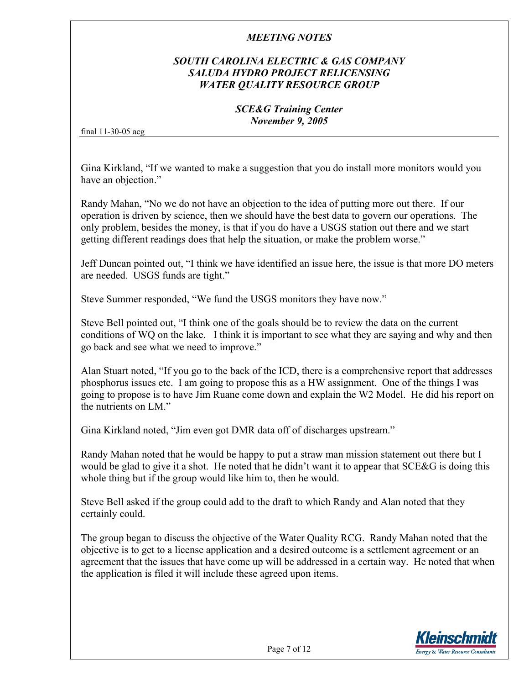## *SOUTH CAROLINA ELECTRIC & GAS COMPANY SALUDA HYDRO PROJECT RELICENSING WATER QUALITY RESOURCE GROUP*

#### *SCE&G Training Center November 9, 2005*

final 11-30-05 acg

Gina Kirkland, "If we wanted to make a suggestion that you do install more monitors would you have an objection."

Randy Mahan, "No we do not have an objection to the idea of putting more out there. If our operation is driven by science, then we should have the best data to govern our operations. The only problem, besides the money, is that if you do have a USGS station out there and we start getting different readings does that help the situation, or make the problem worse."

Jeff Duncan pointed out, "I think we have identified an issue here, the issue is that more DO meters are needed. USGS funds are tight."

Steve Summer responded, "We fund the USGS monitors they have now."

Steve Bell pointed out, "I think one of the goals should be to review the data on the current conditions of WQ on the lake. I think it is important to see what they are saying and why and then go back and see what we need to improve."

Alan Stuart noted, "If you go to the back of the ICD, there is a comprehensive report that addresses phosphorus issues etc. I am going to propose this as a HW assignment. One of the things I was going to propose is to have Jim Ruane come down and explain the W2 Model. He did his report on the nutrients on LM"

Gina Kirkland noted, "Jim even got DMR data off of discharges upstream."

Randy Mahan noted that he would be happy to put a straw man mission statement out there but I would be glad to give it a shot. He noted that he didn't want it to appear that SCE&G is doing this whole thing but if the group would like him to, then he would.

Steve Bell asked if the group could add to the draft to which Randy and Alan noted that they certainly could.

The group began to discuss the objective of the Water Quality RCG. Randy Mahan noted that the objective is to get to a license application and a desired outcome is a settlement agreement or an agreement that the issues that have come up will be addressed in a certain way. He noted that when the application is filed it will include these agreed upon items.

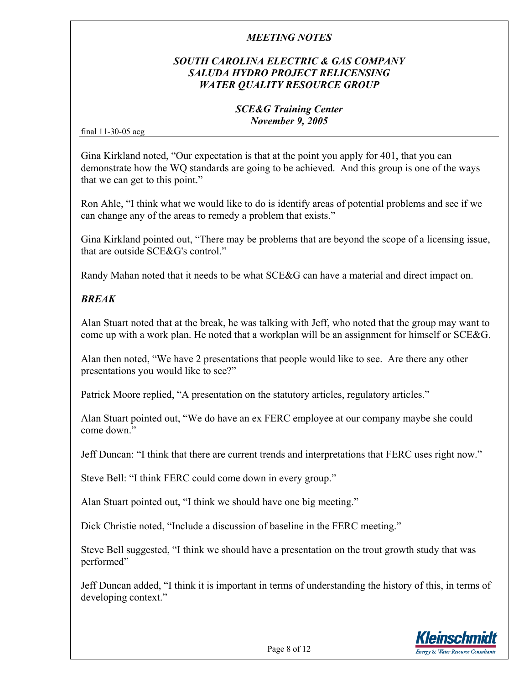# *SOUTH CAROLINA ELECTRIC & GAS COMPANY SALUDA HYDRO PROJECT RELICENSING WATER QUALITY RESOURCE GROUP*

#### *SCE&G Training Center November 9, 2005*

final 11-30-05 acg

Gina Kirkland noted, "Our expectation is that at the point you apply for 401, that you can demonstrate how the WQ standards are going to be achieved. And this group is one of the ways that we can get to this point."

Ron Ahle, "I think what we would like to do is identify areas of potential problems and see if we can change any of the areas to remedy a problem that exists."

Gina Kirkland pointed out, "There may be problems that are beyond the scope of a licensing issue, that are outside SCE&G's control."

Randy Mahan noted that it needs to be what SCE&G can have a material and direct impact on.

# *BREAK*

Alan Stuart noted that at the break, he was talking with Jeff, who noted that the group may want to come up with a work plan. He noted that a workplan will be an assignment for himself or SCE&G.

Alan then noted, "We have 2 presentations that people would like to see. Are there any other presentations you would like to see?"

Patrick Moore replied, "A presentation on the statutory articles, regulatory articles."

Alan Stuart pointed out, "We do have an ex FERC employee at our company maybe she could come down"

Jeff Duncan: "I think that there are current trends and interpretations that FERC uses right now."

Steve Bell: "I think FERC could come down in every group."

Alan Stuart pointed out, "I think we should have one big meeting."

Dick Christie noted, "Include a discussion of baseline in the FERC meeting."

Steve Bell suggested, "I think we should have a presentation on the trout growth study that was performed"

Jeff Duncan added, "I think it is important in terms of understanding the history of this, in terms of developing context."

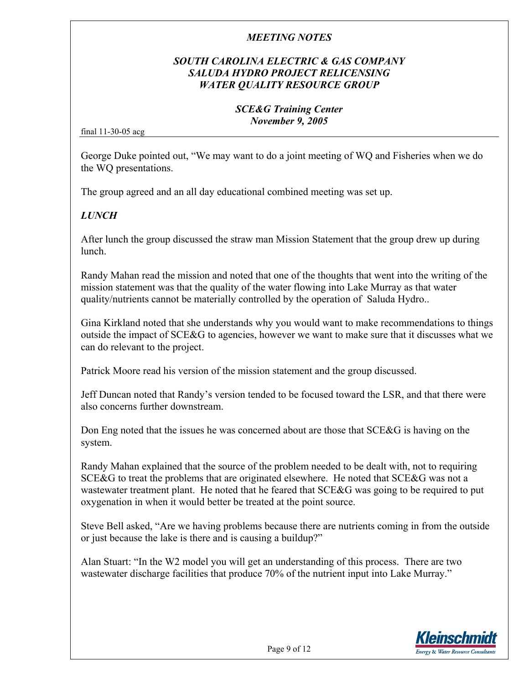## *SOUTH CAROLINA ELECTRIC & GAS COMPANY SALUDA HYDRO PROJECT RELICENSING WATER QUALITY RESOURCE GROUP*

#### *SCE&G Training Center November 9, 2005*

final 11-30-05 acg

George Duke pointed out, "We may want to do a joint meeting of WQ and Fisheries when we do the WQ presentations.

The group agreed and an all day educational combined meeting was set up.

# *LUNCH*

After lunch the group discussed the straw man Mission Statement that the group drew up during lunch.

Randy Mahan read the mission and noted that one of the thoughts that went into the writing of the mission statement was that the quality of the water flowing into Lake Murray as that water quality/nutrients cannot be materially controlled by the operation of Saluda Hydro..

Gina Kirkland noted that she understands why you would want to make recommendations to things outside the impact of SCE&G to agencies, however we want to make sure that it discusses what we can do relevant to the project.

Patrick Moore read his version of the mission statement and the group discussed.

Jeff Duncan noted that Randy's version tended to be focused toward the LSR, and that there were also concerns further downstream.

Don Eng noted that the issues he was concerned about are those that SCE&G is having on the system.

Randy Mahan explained that the source of the problem needed to be dealt with, not to requiring SCE&G to treat the problems that are originated elsewhere. He noted that SCE&G was not a wastewater treatment plant. He noted that he feared that SCE&G was going to be required to put oxygenation in when it would better be treated at the point source.

Steve Bell asked, "Are we having problems because there are nutrients coming in from the outside or just because the lake is there and is causing a buildup?"

Alan Stuart: "In the W2 model you will get an understanding of this process. There are two wastewater discharge facilities that produce 70% of the nutrient input into Lake Murray."

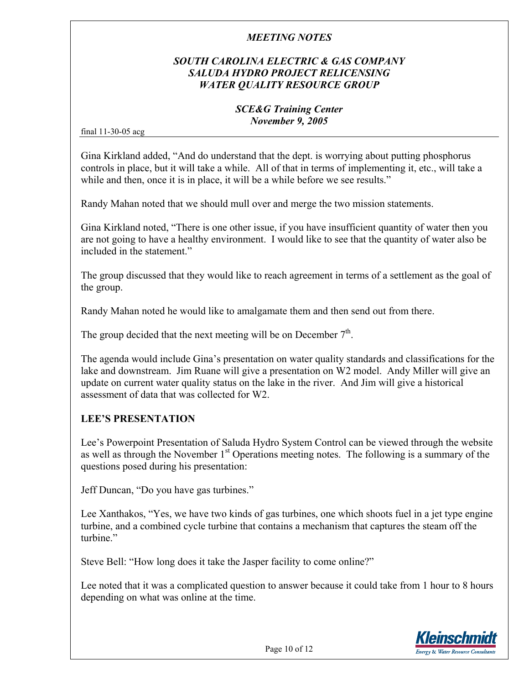## *SOUTH CAROLINA ELECTRIC & GAS COMPANY SALUDA HYDRO PROJECT RELICENSING WATER QUALITY RESOURCE GROUP*

#### *SCE&G Training Center November 9, 2005*

final 11-30-05 acg

Gina Kirkland added, "And do understand that the dept. is worrying about putting phosphorus controls in place, but it will take a while. All of that in terms of implementing it, etc., will take a while and then, once it is in place, it will be a while before we see results."

Randy Mahan noted that we should mull over and merge the two mission statements.

Gina Kirkland noted, "There is one other issue, if you have insufficient quantity of water then you are not going to have a healthy environment. I would like to see that the quantity of water also be included in the statement."

The group discussed that they would like to reach agreement in terms of a settlement as the goal of the group.

Randy Mahan noted he would like to amalgamate them and then send out from there.

The group decided that the next meeting will be on December  $7<sup>th</sup>$ .

The agenda would include Gina's presentation on water quality standards and classifications for the lake and downstream. Jim Ruane will give a presentation on W2 model. Andy Miller will give an update on current water quality status on the lake in the river. And Jim will give a historical assessment of data that was collected for W2.

#### **LEE'S PRESENTATION**

Lee's Powerpoint Presentation of Saluda Hydro System Control can be viewed through the website as well as through the November 1<sup>st</sup> Operations meeting notes. The following is a summary of the questions posed during his presentation:

Jeff Duncan, "Do you have gas turbines."

Lee Xanthakos, "Yes, we have two kinds of gas turbines, one which shoots fuel in a jet type engine turbine, and a combined cycle turbine that contains a mechanism that captures the steam off the turbine<sup>"</sup>

Steve Bell: "How long does it take the Jasper facility to come online?"

Lee noted that it was a complicated question to answer because it could take from 1 hour to 8 hours depending on what was online at the time.

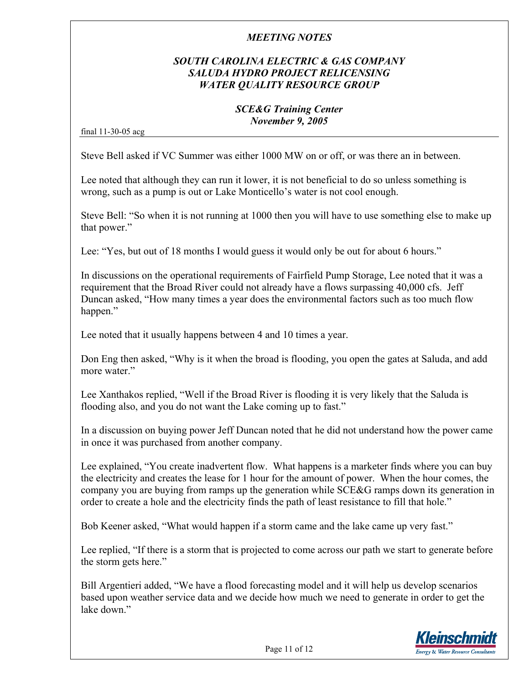## *SOUTH CAROLINA ELECTRIC & GAS COMPANY SALUDA HYDRO PROJECT RELICENSING WATER QUALITY RESOURCE GROUP*

#### *SCE&G Training Center November 9, 2005*

final 11-30-05 acg

Steve Bell asked if VC Summer was either 1000 MW on or off, or was there an in between.

Lee noted that although they can run it lower, it is not beneficial to do so unless something is wrong, such as a pump is out or Lake Monticello's water is not cool enough.

Steve Bell: "So when it is not running at 1000 then you will have to use something else to make up that power."

Lee: "Yes, but out of 18 months I would guess it would only be out for about 6 hours."

In discussions on the operational requirements of Fairfield Pump Storage, Lee noted that it was a requirement that the Broad River could not already have a flows surpassing 40,000 cfs. Jeff Duncan asked, "How many times a year does the environmental factors such as too much flow happen."

Lee noted that it usually happens between 4 and 10 times a year.

Don Eng then asked, "Why is it when the broad is flooding, you open the gates at Saluda, and add more water."

Lee Xanthakos replied, "Well if the Broad River is flooding it is very likely that the Saluda is flooding also, and you do not want the Lake coming up to fast."

In a discussion on buying power Jeff Duncan noted that he did not understand how the power came in once it was purchased from another company.

Lee explained, "You create inadvertent flow. What happens is a marketer finds where you can buy the electricity and creates the lease for 1 hour for the amount of power. When the hour comes, the company you are buying from ramps up the generation while SCE&G ramps down its generation in order to create a hole and the electricity finds the path of least resistance to fill that hole."

Bob Keener asked, "What would happen if a storm came and the lake came up very fast."

Lee replied, "If there is a storm that is projected to come across our path we start to generate before the storm gets here."

Bill Argentieri added, "We have a flood forecasting model and it will help us develop scenarios based upon weather service data and we decide how much we need to generate in order to get the lake down"